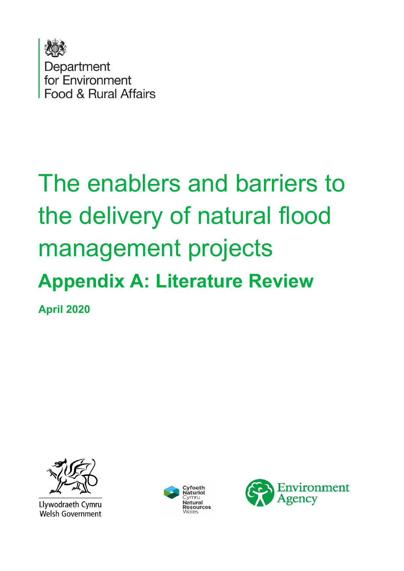

# The enablers and barriers to the delivery of natural flood management projects **Appendix A: Literature Review**

**April 2020** 



Llywodraeth Cymru **Welsh Government** 



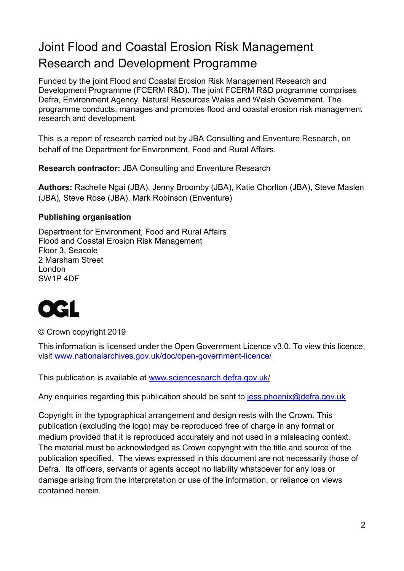#### Joint Flood and Coastal Erosion Risk Management Research and Development Programme

Funded by the joint Flood and Coastal Erosion Risk Management Research and Development Programme (FCERM R&D). The joint FCERM R&D programme comprises Defra, Environment Agency, Natural Resources Wales and Welsh Government. The programme conducts, manages and promotes flood and coastal erosion risk management research and development.

This is a report of research carried out by JBA Consulting and Enventure Research, on behalf of the Department for Environment, Food and Rural Affairs.

**Research contractor:** JBA Consulting and Enventure Research

**Authors:** Rachelle Ngai (JBA), Jenny Broomby (JBA), Katie Chorlton (JBA), Steve Maslen (JBA), Steve Rose (JBA), Mark Robinson (Enventure)

#### **Publishing organisation**

Department for Environment, Food and Rural Affairs Flood and Coastal Erosion Risk Management Floor 3, Seacole 2 Marsham Street London SW1P 4DF



© Crown copyright 2019

This information is licensed under the Open Government Licence v3.0. To view this licence, visit [www.nationalarchives.gov.uk/doc/open-government-licence/](http://www.nationalarchives.gov.uk/doc/open-government-licence/) 

This publication is available at www.sciencesearch.defra.gov.uk/

Any enquiries regarding this publication should be sent to jess.phoenix@defra.gov.uk

Copyright in the typographical arrangement and design rests with the Crown. This publication (excluding the logo) may be reproduced free of charge in any format or medium provided that it is reproduced accurately and not used in a misleading context. The material must be acknowledged as Crown copyright with the title and source of the publication specified. The views expressed in this document are not necessarily those of Defra. Its officers, servants or agents accept no liability whatsoever for any loss or damage arising from the interpretation or use of the information, or reliance on views contained herein.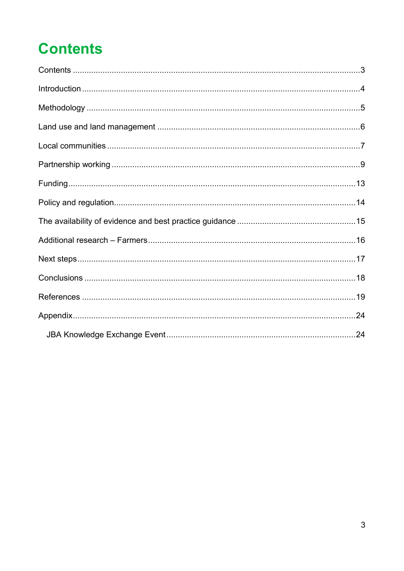# <span id="page-2-0"></span>**Contents**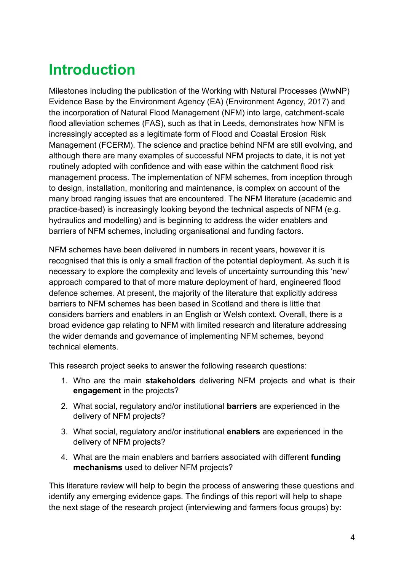## <span id="page-3-0"></span>**Introduction**

Milestones including the publication of the Working with Natural Processes (WwNP) Evidence Base by the Environment Agency (EA) (Environment Agency, 2017) and the incorporation of Natural Flood Management (NFM) into large, catchment-scale flood alleviation schemes (FAS), such as that in Leeds, demonstrates how NFM is increasingly accepted as a legitimate form of Flood and Coastal Erosion Risk Management (FCERM). The science and practice behind NFM are still evolving, and although there are many examples of successful NFM projects to date, it is not yet routinely adopted with confidence and with ease within the catchment flood risk management process. The implementation of NFM schemes, from inception through to design, installation, monitoring and maintenance, is complex on account of the many broad ranging issues that are encountered. The NFM literature (academic and practice-based) is increasingly looking beyond the technical aspects of NFM (e.g. hydraulics and modelling) and is beginning to address the wider enablers and barriers of NFM schemes, including organisational and funding factors.

NFM schemes have been delivered in numbers in recent years, however it is recognised that this is only a small fraction of the potential deployment. As such it is necessary to explore the complexity and levels of uncertainty surrounding this 'new' approach compared to that of more mature deployment of hard, engineered flood defence schemes. At present, the majority of the literature that explicitly address barriers to NFM schemes has been based in Scotland and there is little that considers barriers and enablers in an English or Welsh context. Overall, there is a broad evidence gap relating to NFM with limited research and literature addressing the wider demands and governance of implementing NFM schemes, beyond technical elements.

This research project seeks to answer the following research questions:

- 1. Who are the main **stakeholders** delivering NFM projects and what is their **engagement** in the projects?
- 2. What social, regulatory and/or institutional **barriers** are experienced in the delivery of NFM projects?
- 3. What social, regulatory and/or institutional **enablers** are experienced in the delivery of NFM projects?
- 4. What are the main enablers and barriers associated with different **funding mechanisms** used to deliver NFM projects?

This literature review will help to begin the process of answering these questions and identify any emerging evidence gaps. The findings of this report will help to shape the next stage of the research project (interviewing and farmers focus groups) by: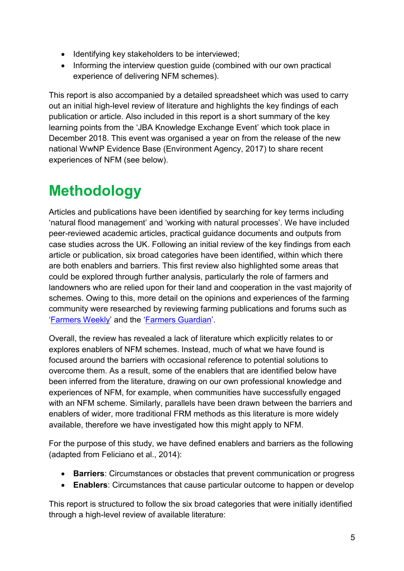- Identifying key stakeholders to be interviewed;
- Informing the interview question quide (combined with our own practical experience of delivering NFM schemes).

This report is also accompanied by a detailed spreadsheet which was used to carry out an initial high-level review of literature and highlights the key findings of each publication or article. Also included in this report is a short summary of the key learning points from the 'JBA Knowledge Exchange Event' which took place in December 2018. This event was organised a year on from the release of the new national WwNP Evidence Base (Environment Agency, 2017) to share recent experiences of NFM (see below).

## <span id="page-4-0"></span>**Methodology**

Articles and publications have been identified by searching for key terms including 'natural flood management' and 'working with natural processes'. We have included peer-reviewed academic articles, practical guidance documents and outputs from case studies across the UK. Following an initial review of the key findings from each article or publication, six broad categories have been identified, within which there are both enablers and barriers. This first review also highlighted some areas that could be explored through further analysis, particularly the role of farmers and landowners who are relied upon for their land and cooperation in the vast majority of schemes. Owing to this, more detail on the opinions and experiences of the farming community were researched by reviewing farming publications and forums such as '[Farmers Weekly](https://www.fwi.co.uk/)' and the '[Farmers Guardian](https://www.fginsight.com/)'.

Overall, the review has revealed a lack of literature which explicitly relates to or explores enablers of NFM schemes. Instead, much of what we have found is focused around the barriers with occasional reference to potential solutions to overcome them. As a result, some of the enablers that are identified below have been inferred from the literature, drawing on our own professional knowledge and experiences of NFM, for example, when communities have successfully engaged with an NFM scheme. Similarly, parallels have been drawn between the barriers and enablers of wider, more traditional FRM methods as this literature is more widely available, therefore we have investigated how this might apply to NFM.

For the purpose of this study, we have defined enablers and barriers as the following (adapted from Feliciano et al., 2014):

- **Barriers**: Circumstances or obstacles that prevent communication or progress
- **Enablers**: Circumstances that cause particular outcome to happen or develop

This report is structured to follow the six broad categories that were initially identified through a high-level review of available literature: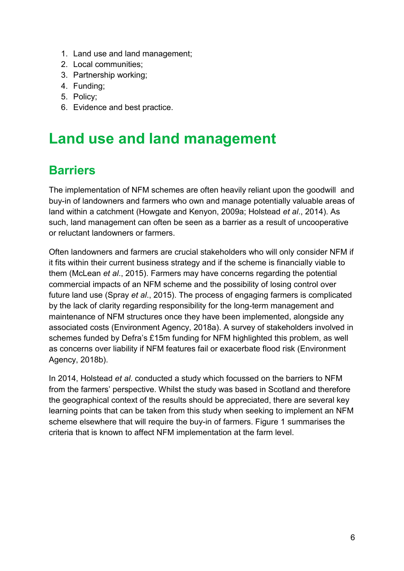- 1. Land use and land management;
- 2. Local communities;
- 3. Partnership working;
- 4. Funding;
- 5. Policy;
- 6. Evidence and best practice.

## <span id="page-5-0"></span>**Land use and land management**

#### **Barriers**

The implementation of NFM schemes are often heavily reliant upon the goodwill and buy-in of landowners and farmers who own and manage potentially valuable areas of land within a catchment (Howgate and Kenyon, 2009a; Holstead *et al*., 2014). As such, land management can often be seen as a barrier as a result of uncooperative or reluctant landowners or farmers.

Often landowners and farmers are crucial stakeholders who will only consider NFM if it fits within their current business strategy and if the scheme is financially viable to them (McLean *et al*., 2015). Farmers may have concerns regarding the potential commercial impacts of an NFM scheme and the possibility of losing control over future land use (Spray *et al*., 2015). The process of engaging farmers is complicated by the lack of clarity regarding responsibility for the long-term management and maintenance of NFM structures once they have been implemented, alongside any associated costs (Environment Agency, 2018a). A survey of stakeholders involved in schemes funded by Defra's £15m funding for NFM highlighted this problem, as well as concerns over liability if NFM features fail or exacerbate flood risk (Environment Agency, 2018b).

In 2014, Holstead *et al*. conducted a study which focussed on the barriers to NFM from the farmers' perspective. Whilst the study was based in Scotland and therefore the geographical context of the results should be appreciated, there are several key learning points that can be taken from this study when seeking to implement an NFM scheme elsewhere that will require the buy-in of farmers. Figure 1 summarises the criteria that is known to affect NFM implementation at the farm level.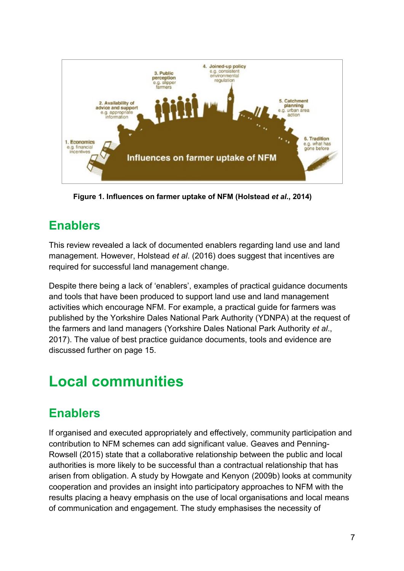

**Figure 1. Influences on farmer uptake of NFM (Holstead** *et al***., 2014)** 

### **Enablers**

This review revealed a lack of documented enablers regarding land use and land management. However, Holstead *et al*. (2016) does suggest that incentives are required for successful land management change.

Despite there being a lack of 'enablers', examples of practical guidance documents and tools that have been produced to support land use and land management activities which encourage NFM. For example, a practical guide for farmers was published by the Yorkshire Dales National Park Authority (YDNPA) at the request of the farmers and land managers (Yorkshire Dales National Park Authority *et al*., 2017). The value of best practice guidance documents, tools and evidence are discussed further on page 15.

## <span id="page-6-0"></span>**Local communities**

#### **Enablers**

If organised and executed appropriately and effectively, community participation and contribution to NFM schemes can add significant value. Geaves and Penning-Rowsell (2015) state that a collaborative relationship between the public and local authorities is more likely to be successful than a contractual relationship that has arisen from obligation. A study by Howgate and Kenyon (2009b) looks at community cooperation and provides an insight into participatory approaches to NFM with the results placing a heavy emphasis on the use of local organisations and local means of communication and engagement. The study emphasises the necessity of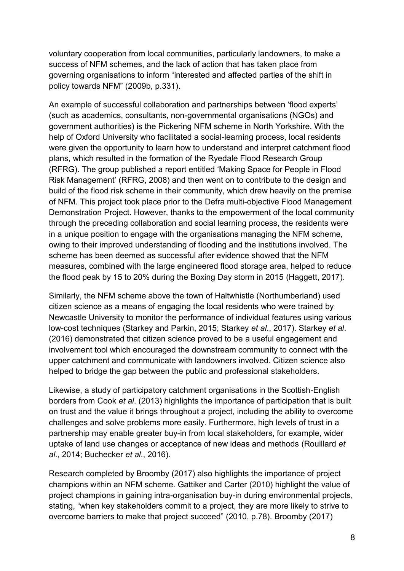voluntary cooperation from local communities, particularly landowners, to make a success of NFM schemes, and the lack of action that has taken place from governing organisations to inform "interested and affected parties of the shift in policy towards NFM" (2009b, p.331).

An example of successful collaboration and partnerships between 'flood experts' (such as academics, consultants, non-governmental organisations (NGOs) and government authorities) is the Pickering NFM scheme in North Yorkshire. With the help of Oxford University who facilitated a social-learning process, local residents were given the opportunity to learn how to understand and interpret catchment flood plans, which resulted in the formation of the Ryedale Flood Research Group (RFRG). The group published a report entitled 'Making Space for People in Flood Risk Management' (RFRG, 2008) and then went on to contribute to the design and build of the flood risk scheme in their community, which drew heavily on the premise of NFM. This project took place prior to the Defra multi-objective Flood Management Demonstration Project. However, thanks to the empowerment of the local community through the preceding collaboration and social learning process, the residents were in a unique position to engage with the organisations managing the NFM scheme, owing to their improved understanding of flooding and the institutions involved. The scheme has been deemed as successful after evidence showed that the NFM measures, combined with the large engineered flood storage area, helped to reduce the flood peak by 15 to 20% during the Boxing Day storm in 2015 (Haggett, 2017).

Similarly, the NFM scheme above the town of Haltwhistle (Northumberland) used citizen science as a means of engaging the local residents who were trained by Newcastle University to monitor the performance of individual features using various low-cost techniques (Starkey and Parkin, 2015; Starkey *et al*., 2017). Starkey *et al*. (2016) demonstrated that citizen science proved to be a useful engagement and involvement tool which encouraged the downstream community to connect with the upper catchment and communicate with landowners involved. Citizen science also helped to bridge the gap between the public and professional stakeholders.

Likewise, a study of participatory catchment organisations in the Scottish-English borders from Cook *et al*. (2013) highlights the importance of participation that is built on trust and the value it brings throughout a project, including the ability to overcome challenges and solve problems more easily. Furthermore, high levels of trust in a partnership may enable greater buy-in from local stakeholders, for example, wider uptake of land use changes or acceptance of new ideas and methods (Rouillard *et al*., 2014; Buchecker *et al*., 2016).

Research completed by Broomby (2017) also highlights the importance of project champions within an NFM scheme. Gattiker and Carter (2010) highlight the value of project champions in gaining intra-organisation buy-in during environmental projects, stating, "when key stakeholders commit to a project, they are more likely to strive to overcome barriers to make that project succeed" (2010, p.78). Broomby (2017)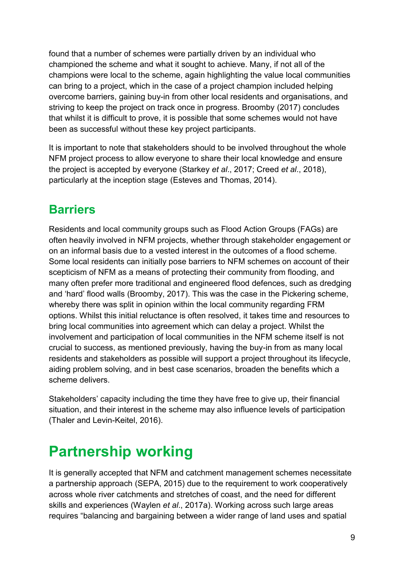found that a number of schemes were partially driven by an individual who championed the scheme and what it sought to achieve. Many, if not all of the champions were local to the scheme, again highlighting the value local communities can bring to a project, which in the case of a project champion included helping overcome barriers, gaining buy-in from other local residents and organisations, and striving to keep the project on track once in progress. Broomby (2017) concludes that whilst it is difficult to prove, it is possible that some schemes would not have been as successful without these key project participants.

It is important to note that stakeholders should to be involved throughout the whole NFM project process to allow everyone to share their local knowledge and ensure the project is accepted by everyone (Starkey *et al*., 2017; Creed *et al*., 2018), particularly at the inception stage (Esteves and Thomas, 2014).

#### **Barriers**

Residents and local community groups such as Flood Action Groups (FAGs) are often heavily involved in NFM projects, whether through stakeholder engagement or on an informal basis due to a vested interest in the outcomes of a flood scheme. Some local residents can initially pose barriers to NFM schemes on account of their scepticism of NFM as a means of protecting their community from flooding, and many often prefer more traditional and engineered flood defences, such as dredging and 'hard' flood walls (Broomby, 2017). This was the case in the Pickering scheme, whereby there was split in opinion within the local community regarding FRM options. Whilst this initial reluctance is often resolved, it takes time and resources to bring local communities into agreement which can delay a project. Whilst the involvement and participation of local communities in the NFM scheme itself is not crucial to success, as mentioned previously, having the buy-in from as many local residents and stakeholders as possible will support a project throughout its lifecycle, aiding problem solving, and in best case scenarios, broaden the benefits which a scheme delivers.

Stakeholders' capacity including the time they have free to give up, their financial situation, and their interest in the scheme may also influence levels of participation (Thaler and Levin-Keitel, 2016).

## <span id="page-8-0"></span>**Partnership working**

It is generally accepted that NFM and catchment management schemes necessitate a partnership approach (SEPA, 2015) due to the requirement to work cooperatively across whole river catchments and stretches of coast, and the need for different skills and experiences (Waylen *et al*., 2017a). Working across such large areas requires "balancing and bargaining between a wider range of land uses and spatial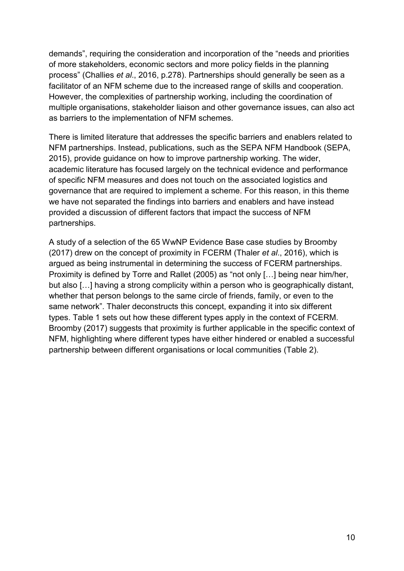demands", requiring the consideration and incorporation of the "needs and priorities of more stakeholders, economic sectors and more policy fields in the planning process" (Challies *et al*., 2016, p.278). Partnerships should generally be seen as a facilitator of an NFM scheme due to the increased range of skills and cooperation. However, the complexities of partnership working, including the coordination of multiple organisations, stakeholder liaison and other governance issues, can also act as barriers to the implementation of NFM schemes.

There is limited literature that addresses the specific barriers and enablers related to NFM partnerships. Instead, publications, such as the SEPA NFM Handbook (SEPA, 2015), provide guidance on how to improve partnership working. The wider, academic literature has focused largely on the technical evidence and performance of specific NFM measures and does not touch on the associated logistics and governance that are required to implement a scheme. For this reason, in this theme we have not separated the findings into barriers and enablers and have instead provided a discussion of different factors that impact the success of NFM partnerships.

A study of a selection of the 65 WwNP Evidence Base case studies by Broomby (2017) drew on the concept of proximity in FCERM (Thaler *et al*., 2016), which is argued as being instrumental in determining the success of FCERM partnerships. Proximity is defined by Torre and Rallet (2005) as "not only […] being near him/her, but also […] having a strong complicity within a person who is geographically distant, whether that person belongs to the same circle of friends, family, or even to the same network". Thaler deconstructs this concept, expanding it into six different types. Table 1 sets out how these different types apply in the context of FCERM. Broomby (2017) suggests that proximity is further applicable in the specific context of NFM, highlighting where different types have either hindered or enabled a successful partnership between different organisations or local communities (Table 2).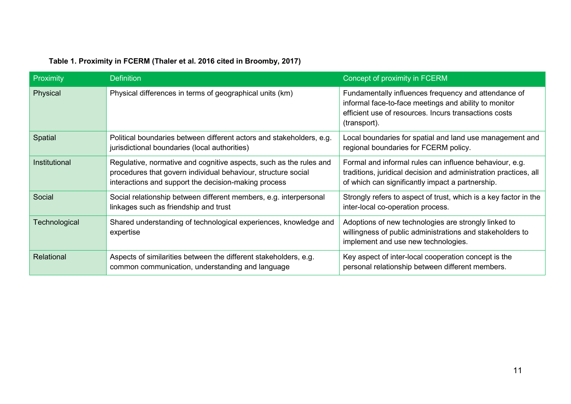| Proximity     | <b>Definition</b>                                                                                                                                                                           | Concept of proximity in FCERM                                                                                                                                                          |
|---------------|---------------------------------------------------------------------------------------------------------------------------------------------------------------------------------------------|----------------------------------------------------------------------------------------------------------------------------------------------------------------------------------------|
| Physical      | Physical differences in terms of geographical units (km)                                                                                                                                    | Fundamentally influences frequency and attendance of<br>informal face-to-face meetings and ability to monitor<br>efficient use of resources. Incurs transactions costs<br>(transport). |
| Spatial       | Political boundaries between different actors and stakeholders, e.g.<br>jurisdictional boundaries (local authorities)                                                                       | Local boundaries for spatial and land use management and<br>regional boundaries for FCERM policy.                                                                                      |
| Institutional | Regulative, normative and cognitive aspects, such as the rules and<br>procedures that govern individual behaviour, structure social<br>interactions and support the decision-making process | Formal and informal rules can influence behaviour, e.g.<br>traditions, juridical decision and administration practices, all<br>of which can significantly impact a partnership.        |
| Social        | Social relationship between different members, e.g. interpersonal<br>linkages such as friendship and trust                                                                                  | Strongly refers to aspect of trust, which is a key factor in the<br>inter-local co-operation process.                                                                                  |
| Technological | Shared understanding of technological experiences, knowledge and<br>expertise                                                                                                               | Adoptions of new technologies are strongly linked to<br>willingness of public administrations and stakeholders to<br>implement and use new technologies.                               |
| Relational    | Aspects of similarities between the different stakeholders, e.g.<br>common communication, understanding and language                                                                        | Key aspect of inter-local cooperation concept is the<br>personal relationship between different members.                                                                               |

#### **Table 1. Proximity in FCERM (Thaler et al. 2016 cited in Broomby, 2017)**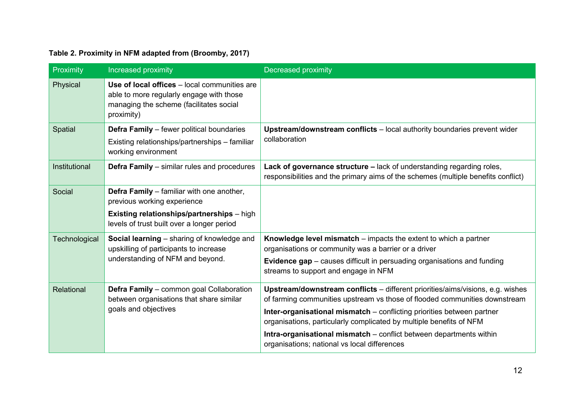#### **Table 2. Proximity in NFM adapted from (Broomby, 2017)**

| Proximity     | Increased proximity                                                                                                                               | Decreased proximity                                                                                                                                          |
|---------------|---------------------------------------------------------------------------------------------------------------------------------------------------|--------------------------------------------------------------------------------------------------------------------------------------------------------------|
| Physical      | Use of local offices - local communities are<br>able to more regularly engage with those<br>managing the scheme (facilitates social<br>proximity) |                                                                                                                                                              |
| Spatial       | <b>Defra Family</b> – fewer political boundaries                                                                                                  | Upstream/downstream conflicts - local authority boundaries prevent wider<br>collaboration                                                                    |
|               | Existing relationships/partnerships - familiar<br>working environment                                                                             |                                                                                                                                                              |
| Institutional | <b>Defra Family</b> – similar rules and procedures                                                                                                | Lack of governance structure – lack of understanding regarding roles,<br>responsibilities and the primary aims of the schemes (multiple benefits conflict)   |
| Social        | Defra Family - familiar with one another,<br>previous working experience                                                                          |                                                                                                                                                              |
|               | <b>Existing relationships/partnerships</b> - high<br>levels of trust built over a longer period                                                   |                                                                                                                                                              |
| Technological | Social learning - sharing of knowledge and<br>upskilling of participants to increase<br>understanding of NFM and beyond.                          | Knowledge level mismatch – impacts the extent to which a partner<br>organisations or community was a barrier or a driver                                     |
|               |                                                                                                                                                   | <b>Evidence gap</b> – causes difficult in persuading organisations and funding<br>streams to support and engage in NFM                                       |
| Relational    | Defra Family - common goal Collaboration<br>between organisations that share similar<br>goals and objectives                                      | Upstream/downstream conflicts - different priorities/aims/visions, e.g. wishes<br>of farming communities upstream vs those of flooded communities downstream |
|               |                                                                                                                                                   | Inter-organisational mismatch - conflicting priorities between partner<br>organisations, particularly complicated by multiple benefits of NFM                |
|               |                                                                                                                                                   | Intra-organisational mismatch - conflict between departments within<br>organisations; national vs local differences                                          |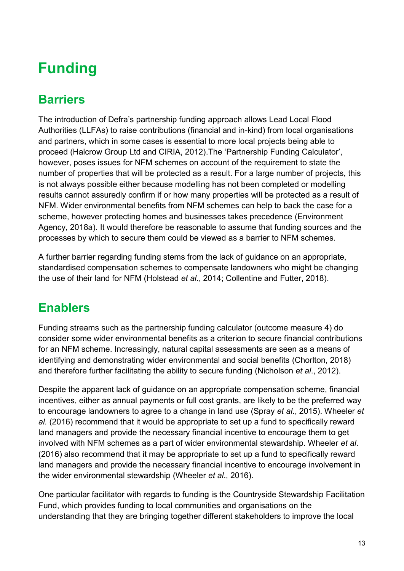## <span id="page-12-0"></span>**Funding**

#### **Barriers**

The introduction of Defra's partnership funding approach allows Lead Local Flood Authorities (LLFAs) to raise contributions (financial and in-kind) from local organisations and partners, which in some cases is essential to more local projects being able to proceed (Halcrow Group Ltd and CIRIA, 2012).The 'Partnership Funding Calculator', however, poses issues for NFM schemes on account of the requirement to state the number of properties that will be protected as a result. For a large number of projects, this is not always possible either because modelling has not been completed or modelling results cannot assuredly confirm if or how many properties will be protected as a result of NFM. Wider environmental benefits from NFM schemes can help to back the case for a scheme, however protecting homes and businesses takes precedence (Environment Agency, 2018a). It would therefore be reasonable to assume that funding sources and the processes by which to secure them could be viewed as a barrier to NFM schemes.

A further barrier regarding funding stems from the lack of guidance on an appropriate, standardised compensation schemes to compensate landowners who might be changing the use of their land for NFM (Holstead *et al*., 2014; Collentine and Futter, 2018).

#### **Enablers**

Funding streams such as the partnership funding calculator (outcome measure 4) do consider some wider environmental benefits as a criterion to secure financial contributions for an NFM scheme. Increasingly, natural capital assessments are seen as a means of identifying and demonstrating wider environmental and social benefits (Chorlton, 2018) and therefore further facilitating the ability to secure funding (Nicholson *et al*., 2012).

Despite the apparent lack of guidance on an appropriate compensation scheme, financial incentives, either as annual payments or full cost grants, are likely to be the preferred way to encourage landowners to agree to a change in land use (Spray *et al*., 2015). Wheeler *et al.* (2016) recommend that it would be appropriate to set up a fund to specifically reward land managers and provide the necessary financial incentive to encourage them to get involved with NFM schemes as a part of wider environmental stewardship. Wheeler *et al*. (2016) also recommend that it may be appropriate to set up a fund to specifically reward land managers and provide the necessary financial incentive to encourage involvement in the wider environmental stewardship (Wheeler *et al*., 2016).

One particular facilitator with regards to funding is the Countryside Stewardship Facilitation Fund, which provides funding to local communities and organisations on the understanding that they are bringing together different stakeholders to improve the local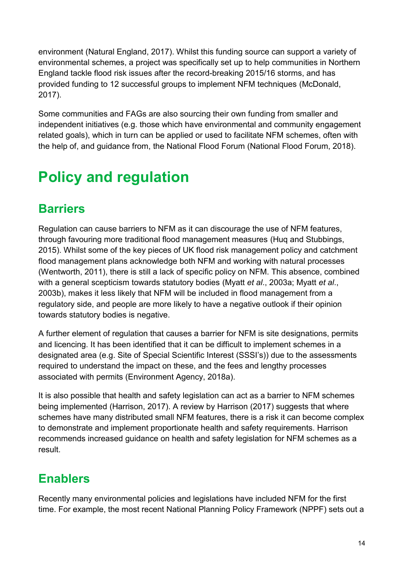environment (Natural England, 2017). Whilst this funding source can support a variety of environmental schemes, a project was specifically set up to help communities in Northern England tackle flood risk issues after the record-breaking 2015/16 storms, and has provided funding to 12 successful groups to implement NFM techniques (McDonald, 2017).

Some communities and FAGs are also sourcing their own funding from smaller and independent initiatives (e.g. those which have environmental and community engagement related goals), which in turn can be applied or used to facilitate NFM schemes, often with the help of, and guidance from, the National Flood Forum (National Flood Forum, 2018).

# <span id="page-13-0"></span>**Policy and regulation**

#### **Barriers**

Regulation can cause barriers to NFM as it can discourage the use of NFM features, through favouring more traditional flood management measures (Huq and Stubbings, 2015). Whilst some of the key pieces of UK flood risk management policy and catchment flood management plans acknowledge both NFM and working with natural processes (Wentworth, 2011), there is still a lack of specific policy on NFM. This absence, combined with a general scepticism towards statutory bodies (Myatt *et al*., 2003a; Myatt *et al*., 2003b), makes it less likely that NFM will be included in flood management from a regulatory side, and people are more likely to have a negative outlook if their opinion towards statutory bodies is negative.

A further element of regulation that causes a barrier for NFM is site designations, permits and licencing. It has been identified that it can be difficult to implement schemes in a designated area (e.g. Site of Special Scientific Interest (SSSI's)) due to the assessments required to understand the impact on these, and the fees and lengthy processes associated with permits (Environment Agency, 2018a).

It is also possible that health and safety legislation can act as a barrier to NFM schemes being implemented (Harrison, 2017). A review by Harrison (2017) suggests that where schemes have many distributed small NFM features, there is a risk it can become complex to demonstrate and implement proportionate health and safety requirements. Harrison recommends increased guidance on health and safety legislation for NFM schemes as a result.

## **Enablers**

Recently many environmental policies and legislations have included NFM for the first time. For example, the most recent National Planning Policy Framework (NPPF) sets out a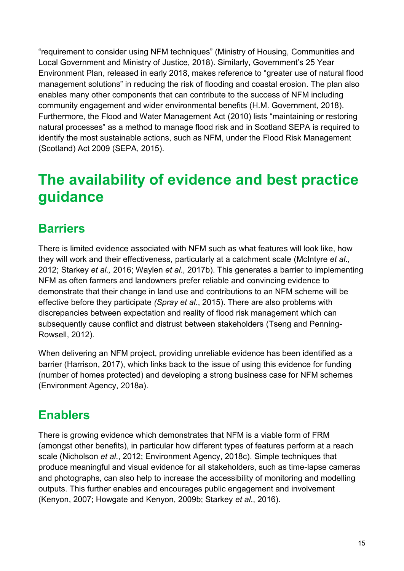"requirement to consider using NFM techniques" (Ministry of Housing, Communities and Local Government and Ministry of Justice, 2018). Similarly, Government's 25 Year Environment Plan, released in early 2018, makes reference to "greater use of natural flood management solutions" in reducing the risk of flooding and coastal erosion. The plan also enables many other components that can contribute to the success of NFM including community engagement and wider environmental benefits (H.M. Government, 2018). Furthermore, the Flood and Water Management Act (2010) lists "maintaining or restoring natural processes" as a method to manage flood risk and in Scotland SEPA is required to identify the most sustainable actions, such as NFM, under the Flood Risk Management (Scotland) Act 2009 (SEPA, 2015).

## <span id="page-14-0"></span>**The availability of evidence and best practice guidance**

#### **Barriers**

There is limited evidence associated with NFM such as what features will look like, how they will work and their effectiveness, particularly at a catchment scale (McIntyre *et al*., 2012; Starkey *et al.,* 2016; Waylen *et al*., 2017b). This generates a barrier to implementing NFM as often farmers and landowners prefer reliable and convincing evidence to demonstrate that their change in land use and contributions to an NFM scheme will be effective before they participate *(Spray et al*., 2015). There are also problems with discrepancies between expectation and reality of flood risk management which can subsequently cause conflict and distrust between stakeholders (Tseng and Penning-Rowsell, 2012).

When delivering an NFM project, providing unreliable evidence has been identified as a barrier (Harrison, 2017), which links back to the issue of using this evidence for funding (number of homes protected) and developing a strong business case for NFM schemes (Environment Agency, 2018a).

#### **Enablers**

There is growing evidence which demonstrates that NFM is a viable form of FRM (amongst other benefits), in particular how different types of features perform at a reach scale (Nicholson *et al*., 2012; Environment Agency, 2018c). Simple techniques that produce meaningful and visual evidence for all stakeholders, such as time-lapse cameras and photographs, can also help to increase the accessibility of monitoring and modelling outputs. This further enables and encourages public engagement and involvement (Kenyon, 2007; Howgate and Kenyon, 2009b; Starkey *et al*., 2016).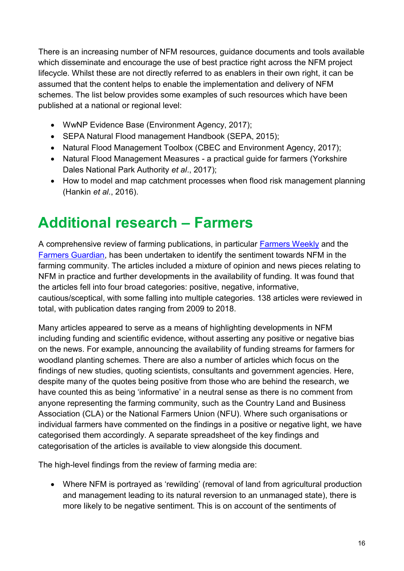There is an increasing number of NFM resources, guidance documents and tools available which disseminate and encourage the use of best practice right across the NFM project lifecycle. Whilst these are not directly referred to as enablers in their own right, it can be assumed that the content helps to enable the implementation and delivery of NFM schemes. The list below provides some examples of such resources which have been published at a national or regional level:

- WwNP Evidence Base (Environment Agency, 2017);
- SEPA Natural Flood management Handbook (SEPA, 2015);
- Natural Flood Management Toolbox (CBEC and Environment Agency, 2017);
- Natural Flood Management Measures a practical guide for farmers (Yorkshire Dales National Park Authority *et al*., 2017);
- How to model and map catchment processes when flood risk management planning (Hankin *et al*., 2016).

## <span id="page-15-0"></span>**Additional research – Farmers**

A comprehensive review of farming publications, in particular [Farmers Weekly](https://www.fwi.co.uk/) and the [Farmers Guardian,](https://www.fginsight.com/) has been undertaken to identify the sentiment towards NFM in the farming community. The articles included a mixture of opinion and news pieces relating to NFM in practice and further developments in the availability of funding. It was found that the articles fell into four broad categories: positive, negative, informative, cautious/sceptical, with some falling into multiple categories. 138 articles were reviewed in total, with publication dates ranging from 2009 to 2018.

Many articles appeared to serve as a means of highlighting developments in NFM including funding and scientific evidence, without asserting any positive or negative bias on the news. For example, announcing the availability of funding streams for farmers for woodland planting schemes. There are also a number of articles which focus on the findings of new studies, quoting scientists, consultants and government agencies. Here, despite many of the quotes being positive from those who are behind the research, we have counted this as being 'informative' in a neutral sense as there is no comment from anyone representing the farming community, such as the Country Land and Business Association (CLA) or the National Farmers Union (NFU). Where such organisations or individual farmers have commented on the findings in a positive or negative light, we have categorised them accordingly. A separate spreadsheet of the key findings and categorisation of the articles is available to view alongside this document.

The high-level findings from the review of farming media are:

 Where NFM is portrayed as 'rewilding' (removal of land from agricultural production and management leading to its natural reversion to an unmanaged state), there is more likely to be negative sentiment. This is on account of the sentiments of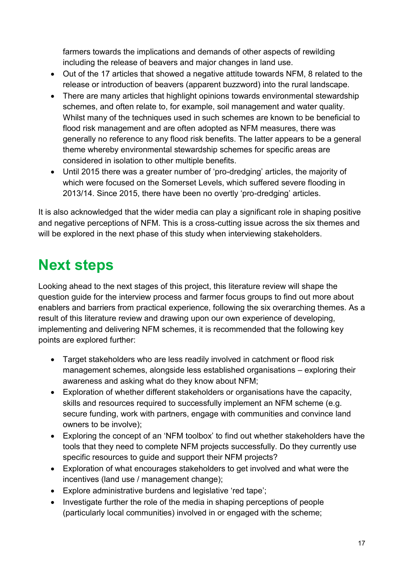farmers towards the implications and demands of other aspects of rewilding including the release of beavers and major changes in land use.

- Out of the 17 articles that showed a negative attitude towards NFM, 8 related to the release or introduction of beavers (apparent buzzword) into the rural landscape.
- There are many articles that highlight opinions towards environmental stewardship schemes, and often relate to, for example, soil management and water quality. Whilst many of the techniques used in such schemes are known to be beneficial to flood risk management and are often adopted as NFM measures, there was generally no reference to any flood risk benefits. The latter appears to be a general theme whereby environmental stewardship schemes for specific areas are considered in isolation to other multiple benefits.
- Until 2015 there was a greater number of 'pro-dredging' articles, the majority of which were focused on the Somerset Levels, which suffered severe flooding in 2013/14. Since 2015, there have been no overtly 'pro-dredging' articles.

It is also acknowledged that the wider media can play a significant role in shaping positive and negative perceptions of NFM. This is a cross-cutting issue across the six themes and will be explored in the next phase of this study when interviewing stakeholders.

## <span id="page-16-0"></span>**Next steps**

Looking ahead to the next stages of this project, this literature review will shape the question guide for the interview process and farmer focus groups to find out more about enablers and barriers from practical experience, following the six overarching themes. As a result of this literature review and drawing upon our own experience of developing, implementing and delivering NFM schemes, it is recommended that the following key points are explored further:

- Target stakeholders who are less readily involved in catchment or flood risk management schemes, alongside less established organisations – exploring their awareness and asking what do they know about NFM;
- Exploration of whether different stakeholders or organisations have the capacity, skills and resources required to successfully implement an NFM scheme (e.g. secure funding, work with partners, engage with communities and convince land owners to be involve);
- Exploring the concept of an 'NFM toolbox' to find out whether stakeholders have the tools that they need to complete NFM projects successfully. Do they currently use specific resources to guide and support their NFM projects?
- Exploration of what encourages stakeholders to get involved and what were the incentives (land use / management change);
- Explore administrative burdens and legislative 'red tape';
- Investigate further the role of the media in shaping perceptions of people (particularly local communities) involved in or engaged with the scheme;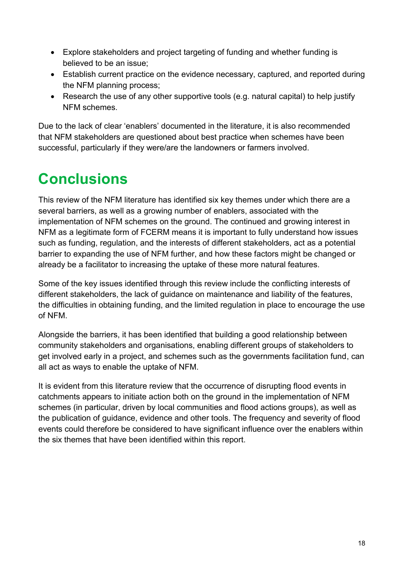- Explore stakeholders and project targeting of funding and whether funding is believed to be an issue;
- Establish current practice on the evidence necessary, captured, and reported during the NFM planning process;
- Research the use of any other supportive tools (e.g. natural capital) to help justify NFM schemes.

Due to the lack of clear 'enablers' documented in the literature, it is also recommended that NFM stakeholders are questioned about best practice when schemes have been successful, particularly if they were/are the landowners or farmers involved.

## <span id="page-17-0"></span>**Conclusions**

This review of the NFM literature has identified six key themes under which there are a several barriers, as well as a growing number of enablers, associated with the implementation of NFM schemes on the ground. The continued and growing interest in NFM as a legitimate form of FCERM means it is important to fully understand how issues such as funding, regulation, and the interests of different stakeholders, act as a potential barrier to expanding the use of NFM further, and how these factors might be changed or already be a facilitator to increasing the uptake of these more natural features.

Some of the key issues identified through this review include the conflicting interests of different stakeholders, the lack of guidance on maintenance and liability of the features, the difficulties in obtaining funding, and the limited regulation in place to encourage the use of NFM.

Alongside the barriers, it has been identified that building a good relationship between community stakeholders and organisations, enabling different groups of stakeholders to get involved early in a project, and schemes such as the governments facilitation fund, can all act as ways to enable the uptake of NFM.

It is evident from this literature review that the occurrence of disrupting flood events in catchments appears to initiate action both on the ground in the implementation of NFM schemes (in particular, driven by local communities and flood actions groups), as well as the publication of guidance, evidence and other tools. The frequency and severity of flood events could therefore be considered to have significant influence over the enablers within the six themes that have been identified within this report.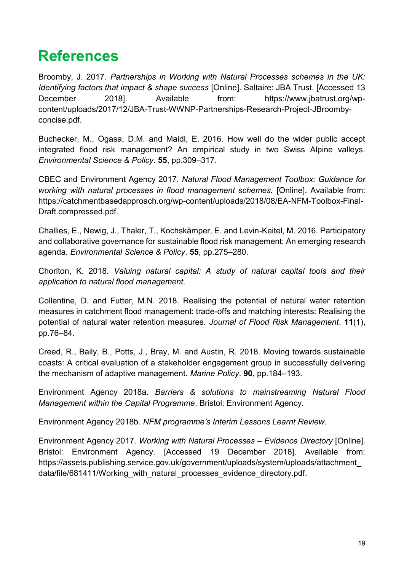## <span id="page-18-0"></span>**References**

Broomby, J. 2017. *Partnerships in Working with Natural Processes schemes in the UK: Identifying factors that impact & shape success* [Online]. Saltaire: JBA Trust. [Accessed 13 December 2018]. Available from: https://www.jbatrust.org/wpcontent/uploads/2017/12/JBA-Trust-WWNP-Partnerships-Research-Project-JBroombyconcise.pdf.

Buchecker, M., Ogasa, D.M. and Maidl, E. 2016. How well do the wider public accept integrated flood risk management? An empirical study in two Swiss Alpine valleys. *Environmental Science & Policy*. **55**, pp.309–317.

CBEC and Environment Agency 2017. *Natural Flood Management Toolbox: Guidance for working with natural processes in flood management schemes.* [Online]. Available from: https://catchmentbasedapproach.org/wp-content/uploads/2018/08/EA-NFM-Toolbox-Final-Draft.compressed.pdf.

Challies, E., Newig, J., Thaler, T., Kochskämper, E. and Levin-Keitel, M. 2016. Participatory and collaborative governance for sustainable flood risk management: An emerging research agenda. *Environmental Science & Policy*. **55**, pp.275–280.

Chorlton, K. 2018. *Valuing natural capital: A study of natural capital tools and their application to natural flood management.*

Collentine, D. and Futter, M.N. 2018. Realising the potential of natural water retention measures in catchment flood management: trade-offs and matching interests: Realising the potential of natural water retention measures. *Journal of Flood Risk Management*. **11**(1), pp.76–84.

Creed, R., Baily, B., Potts, J., Bray, M. and Austin, R. 2018. Moving towards sustainable coasts: A critical evaluation of a stakeholder engagement group in successfully delivering the mechanism of adaptive management. *Marine Policy*. **90**, pp.184–193.

Environment Agency 2018a. *Barriers & solutions to mainstreaming Natural Flood Management within the Capital Programme*. Bristol: Environment Agency.

Environment Agency 2018b. *NFM programme's Interim Lessons Learnt Review*.

Environment Agency 2017. *Working with Natural Processes – Evidence Directory* [Online]. Bristol: Environment Agency. [Accessed 19 December 2018]. Available from: https://assets.publishing.service.gov.uk/government/uploads/system/uploads/attachment\_ data/file/681411/Working\_with\_natural\_processes\_evidence\_directory.pdf.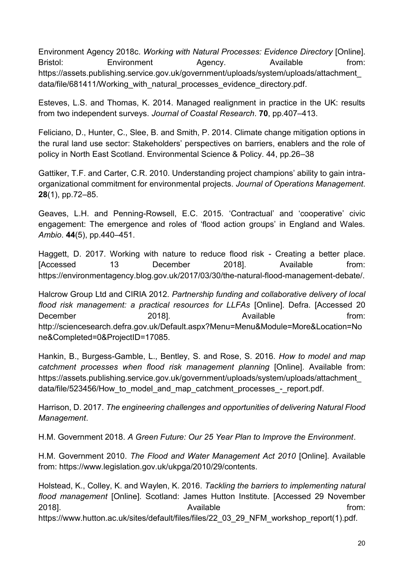Environment Agency 2018c. *Working with Natural Processes: Evidence Directory* [Online]. Bristol: Environment Agency. Available from: https://assets.publishing.service.gov.uk/government/uploads/system/uploads/attachment\_ data/file/681411/Working\_with\_natural\_processes\_evidence\_directory.pdf.

Esteves, L.S. and Thomas, K. 2014. Managed realignment in practice in the UK: results from two independent surveys. *Journal of Coastal Research*. **70**, pp.407–413.

Feliciano, D., Hunter, C., Slee, B. and Smith, P. 2014. Climate change mitigation options in the rural land use sector: Stakeholders' perspectives on barriers, enablers and the role of policy in North East Scotland. Environmental Science & Policy. 44, pp.26–38

Gattiker, T.F. and Carter, C.R. 2010. Understanding project champions' ability to gain intraorganizational commitment for environmental projects. *Journal of Operations Management*. **28**(1), pp.72–85.

Geaves, L.H. and Penning-Rowsell, E.C. 2015. 'Contractual' and 'cooperative' civic engagement: The emergence and roles of 'flood action groups' in England and Wales. *Ambio*. **44**(5), pp.440–451.

Haggett, D. 2017. Working with nature to reduce flood risk - Creating a better place. [Accessed 13 December 2018]. Available from: https://environmentagency.blog.gov.uk/2017/03/30/the-natural-flood-management-debate/.

Halcrow Group Ltd and CIRIA 2012. *Partnership funding and collaborative delivery of local flood risk management: a practical resources for LLFAs* [Online]. Defra. [Accessed 20 December 2018]. 2018 Available Chrome from: http://sciencesearch.defra.gov.uk/Default.aspx?Menu=Menu&Module=More&Location=No ne&Completed=0&ProjectID=17085.

Hankin, B., Burgess-Gamble, L., Bentley, S. and Rose, S. 2016. *How to model and map catchment processes when flood risk management planning* [Online]. Available from: https://assets.publishing.service.gov.uk/government/uploads/system/uploads/attachment\_ data/file/523456/How to model and map catchment processes - report.pdf.

Harrison, D. 2017. *The engineering challenges and opportunities of delivering Natural Flood Management*.

H.M. Government 2018. *A Green Future: Our 25 Year Plan to Improve the Environment*.

H.M. Government 2010. *The Flood and Water Management Act 2010* [Online]. Available from: https://www.legislation.gov.uk/ukpga/2010/29/contents.

Holstead, K., Colley, K. and Waylen, K. 2016. *Tackling the barriers to implementing natural flood management* [Online]. Scotland: James Hutton Institute. [Accessed 29 November 2018]. The contract of the contract of the Available contract of the from: https://www.hutton.ac.uk/sites/default/files/files/22\_03\_29\_NFM\_workshop\_report(1).pdf.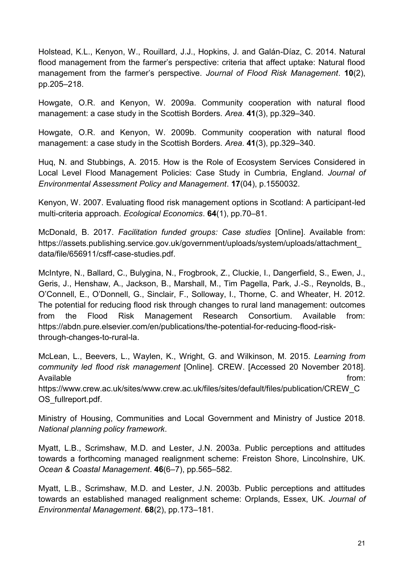Holstead, K.L., Kenyon, W., Rouillard, J.J., Hopkins, J. and Galán-Díaz, C. 2014. Natural flood management from the farmer's perspective: criteria that affect uptake: Natural flood management from the farmer's perspective. *Journal of Flood Risk Management*. **10**(2), pp.205–218.

Howgate, O.R. and Kenyon, W. 2009a. Community cooperation with natural flood management: a case study in the Scottish Borders. *Area*. **41**(3), pp.329–340.

Howgate, O.R. and Kenyon, W. 2009b. Community cooperation with natural flood management: a case study in the Scottish Borders. *Area*. **41**(3), pp.329–340.

Huq, N. and Stubbings, A. 2015. How is the Role of Ecosystem Services Considered in Local Level Flood Management Policies: Case Study in Cumbria, England. *Journal of Environmental Assessment Policy and Management*. **17**(04), p.1550032.

Kenyon, W. 2007. Evaluating flood risk management options in Scotland: A participant-led multi-criteria approach. *Ecological Economics*. **64**(1), pp.70–81.

McDonald, B. 2017. *Facilitation funded groups: Case studies* [Online]. Available from: https://assets.publishing.service.gov.uk/government/uploads/system/uploads/attachment\_ data/file/656911/csff-case-studies.pdf.

McIntyre, N., Ballard, C., Bulygina, N., Frogbrook, Z., Cluckie, I., Dangerfield, S., Ewen, J., Geris, J., Henshaw, A., Jackson, B., Marshall, M., Tim Pagella, Park, J.-S., Reynolds, B., O'Connell, E., O'Donnell, G., Sinclair, F., Solloway, I., Thorne, C. and Wheater, H. 2012. The potential for reducing flood risk through changes to rural land management: outcomes from the Flood Risk Management Research Consortium. Available from: https://abdn.pure.elsevier.com/en/publications/the-potential-for-reducing-flood-riskthrough-changes-to-rural-la.

McLean, L., Beevers, L., Waylen, K., Wright, G. and Wilkinson, M. 2015. *Learning from community led flood risk management* [Online]. CREW. [Accessed 20 November 2018]. Available from:

https://www.crew.ac.uk/sites/www.crew.ac.uk/files/sites/default/files/publication/CREW\_C OS\_fullreport.pdf.

Ministry of Housing, Communities and Local Government and Ministry of Justice 2018. *National planning policy framework*.

Myatt, L.B., Scrimshaw, M.D. and Lester, J.N. 2003a. Public perceptions and attitudes towards a forthcoming managed realignment scheme: Freiston Shore, Lincolnshire, UK. *Ocean & Coastal Management*. **46**(6–7), pp.565–582.

Myatt, L.B., Scrimshaw, M.D. and Lester, J.N. 2003b. Public perceptions and attitudes towards an established managed realignment scheme: Orplands, Essex, UK. *Journal of Environmental Management*. **68**(2), pp.173–181.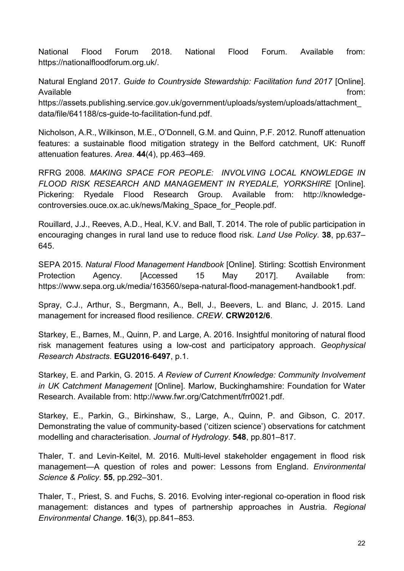National Flood Forum 2018. National Flood Forum. Available from: https://nationalfloodforum.org.uk/.

Natural England 2017. *Guide to Countryside Stewardship: Facilitation fund 2017* [Online]. Available from:

https://assets.publishing.service.gov.uk/government/uploads/system/uploads/attachment\_ data/file/641188/cs-guide-to-facilitation-fund.pdf.

Nicholson, A.R., Wilkinson, M.E., O'Donnell, G.M. and Quinn, P.F. 2012. Runoff attenuation features: a sustainable flood mitigation strategy in the Belford catchment, UK: Runoff attenuation features. *Area*. **44**(4), pp.463–469.

RFRG 2008. *MAKING SPACE FOR PEOPLE: INVOLVING LOCAL KNOWLEDGE IN FLOOD RISK RESEARCH AND MANAGEMENT IN RYEDALE, YORKSHIRE* [Online]. Pickering: Ryedale Flood Research Group. Available from: http://knowledgecontroversies.ouce.ox.ac.uk/news/Making\_Space\_for\_People.pdf.

Rouillard, J.J., Reeves, A.D., Heal, K.V. and Ball, T. 2014. The role of public participation in encouraging changes in rural land use to reduce flood risk. *Land Use Policy*. **38**, pp.637– 645.

SEPA 2015. *Natural Flood Management Handbook* [Online]. Stirling: Scottish Environment Protection Agency. [Accessed 15 May 2017]. Available from: https://www.sepa.org.uk/media/163560/sepa-natural-flood-management-handbook1.pdf.

Spray, C.J., Arthur, S., Bergmann, A., Bell, J., Beevers, L. and Blanc, J. 2015. Land management for increased flood resilience. *CREW*. **CRW2012/6**.

Starkey, E., Barnes, M., Quinn, P. and Large, A. 2016. Insightful monitoring of natural flood risk management features using a low-cost and participatory approach. *Geophysical Research Abstracts*. **EGU2016**-**6497**, p.1.

Starkey, E. and Parkin, G. 2015. *A Review of Current Knowledge: Community Involvement in UK Catchment Management* [Online]. Marlow, Buckinghamshire: Foundation for Water Research. Available from: http://www.fwr.org/Catchment/frr0021.pdf.

Starkey, E., Parkin, G., Birkinshaw, S., Large, A., Quinn, P. and Gibson, C. 2017. Demonstrating the value of community-based ('citizen science') observations for catchment modelling and characterisation. *Journal of Hydrology*. **548**, pp.801–817.

Thaler, T. and Levin-Keitel, M. 2016. Multi-level stakeholder engagement in flood risk management—A question of roles and power: Lessons from England. *Environmental Science & Policy*. **55**, pp.292–301.

Thaler, T., Priest, S. and Fuchs, S. 2016. Evolving inter-regional co-operation in flood risk management: distances and types of partnership approaches in Austria. *Regional Environmental Change*. **16**(3), pp.841–853.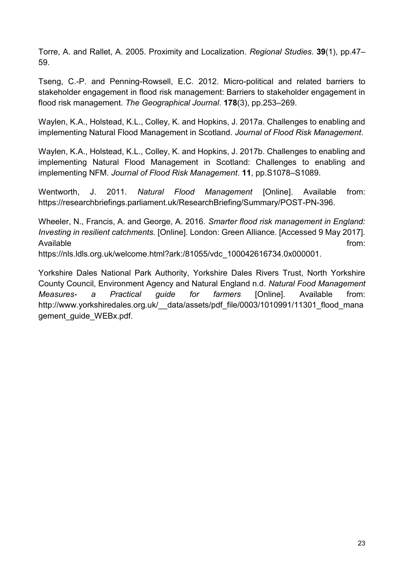Torre, A. and Rallet, A. 2005. Proximity and Localization. *Regional Studies*. **39**(1), pp.47– 59.

Tseng, C.-P. and Penning-Rowsell, E.C. 2012. Micro-political and related barriers to stakeholder engagement in flood risk management: Barriers to stakeholder engagement in flood risk management. *The Geographical Journal*. **178**(3), pp.253–269.

Waylen, K.A., Holstead, K.L., Colley, K. and Hopkins, J. 2017a. Challenges to enabling and implementing Natural Flood Management in Scotland. *Journal of Flood Risk Management*.

Waylen, K.A., Holstead, K.L., Colley, K. and Hopkins, J. 2017b. Challenges to enabling and implementing Natural Flood Management in Scotland: Challenges to enabling and implementing NFM. *Journal of Flood Risk Management*. **11**, pp.S1078–S1089.

Wentworth, J. 2011. *Natural Flood Management* [Online]. Available from: https://researchbriefings.parliament.uk/ResearchBriefing/Summary/POST-PN-396.

Wheeler, N., Francis, A. and George, A. 2016. *Smarter flood risk management in England: Investing in resilient catchments.* [Online]. London: Green Alliance. [Accessed 9 May 2017]. Available from: https://nls.ldls.org.uk/welcome.html?ark:/81055/vdc\_100042616734.0x000001.

Yorkshire Dales National Park Authority, Yorkshire Dales Rivers Trust, North Yorkshire County Council, Environment Agency and Natural England n.d. *Natural Food Management Measures- a Practical guide for farmers* [Online]. Available from: http://www.yorkshiredales.org.uk/ data/assets/pdf file/0003/1010991/11301 flood mana gement\_guide\_WEBx.pdf.